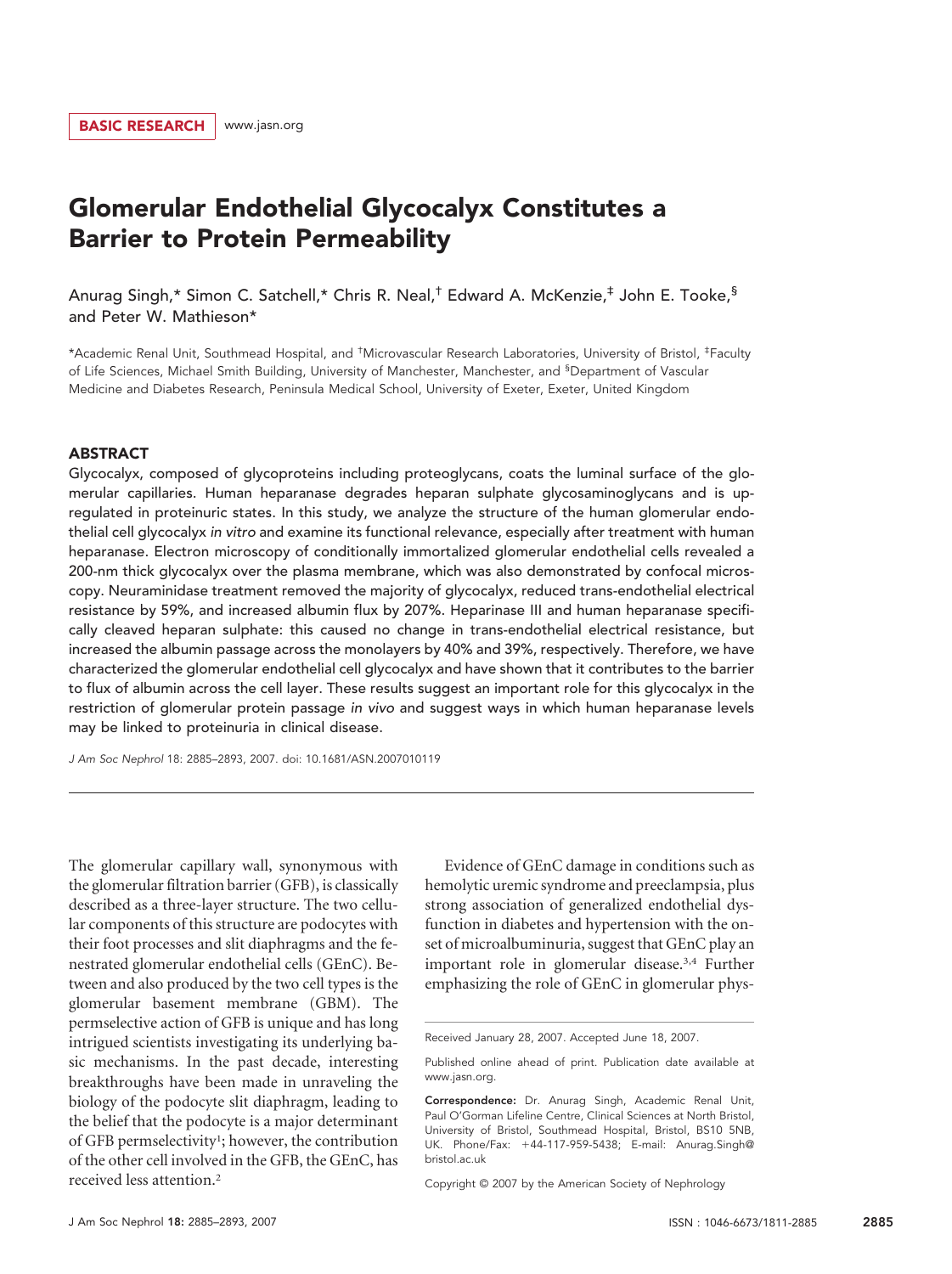# Glomerular Endothelial Glycocalyx Constitutes a Barrier to Protein Permeability

Anurag Singh,\* Simon C. Satchell,\* Chris R. Neal,† Edward A. McKenzie,‡ John E. Tooke,§ and Peter W. Mathieson\*

\*Academic Renal Unit, Southmead Hospital, and † Microvascular Research Laboratories, University of Bristol, ‡ Faculty of Life Sciences, Michael Smith Building, University of Manchester, Manchester, and <sup>§</sup>Department of Vascular Medicine and Diabetes Research, Peninsula Medical School, University of Exeter, Exeter, United Kingdom

#### ABSTRACT

Glycocalyx, composed of glycoproteins including proteoglycans, coats the luminal surface of the glomerular capillaries. Human heparanase degrades heparan sulphate glycosaminoglycans and is upregulated in proteinuric states. In this study, we analyze the structure of the human glomerular endothelial cell glycocalyx *in vitro* and examine its functional relevance, especially after treatment with human heparanase. Electron microscopy of conditionally immortalized glomerular endothelial cells revealed a 200-nm thick glycocalyx over the plasma membrane, which was also demonstrated by confocal microscopy. Neuraminidase treatment removed the majority of glycocalyx, reduced trans-endothelial electrical resistance by 59%, and increased albumin flux by 207%. Heparinase III and human heparanase specifically cleaved heparan sulphate: this caused no change in trans-endothelial electrical resistance, but increased the albumin passage across the monolayers by 40% and 39%, respectively. Therefore, we have characterized the glomerular endothelial cell glycocalyx and have shown that it contributes to the barrier to flux of albumin across the cell layer. These results suggest an important role for this glycocalyx in the restriction of glomerular protein passage *in vivo* and suggest ways in which human heparanase levels may be linked to proteinuria in clinical disease.

*J Am Soc Nephrol* 18: 2885–2893, 2007. doi: 10.1681/ASN.2007010119

The glomerular capillary wall, synonymous with the glomerular filtration barrier (GFB), is classically described as a three-layer structure. The two cellular components of this structure are podocytes with their foot processes and slit diaphragms and the fenestrated glomerular endothelial cells (GEnC). Between and also produced by the two cell types is the glomerular basement membrane (GBM). The permselective action of GFB is unique and has long intrigued scientists investigating its underlying basic mechanisms. In the past decade, interesting breakthroughs have been made in unraveling the biology of the podocyte slit diaphragm, leading to the belief that the podocyte is a major determinant of GFB permselectivity1; however, the contribution of the other cell involved in the GFB, the GEnC, has received less attention.2

Evidence of GEnC damage in conditions such as hemolytic uremic syndrome and preeclampsia, plus strong association of generalized endothelial dysfunction in diabetes and hypertension with the onset of microalbuminuria, suggest that GEnC play an important role in glomerular disease.3,4 Further emphasizing the role of GEnC in glomerular phys-

Copyright © 2007 by the American Society of Nephrology

Received January 28, 2007. Accepted June 18, 2007.

Published online ahead of print. Publication date available at www.jasn.org.

Correspondence: Dr. Anurag Singh, Academic Renal Unit, Paul O'Gorman Lifeline Centre, Clinical Sciences at North Bristol, University of Bristol, Southmead Hospital, Bristol, BS10 5NB, UK. Phone/Fax: 44-117-959-5438; E-mail: Anurag.Singh@ bristol.ac.uk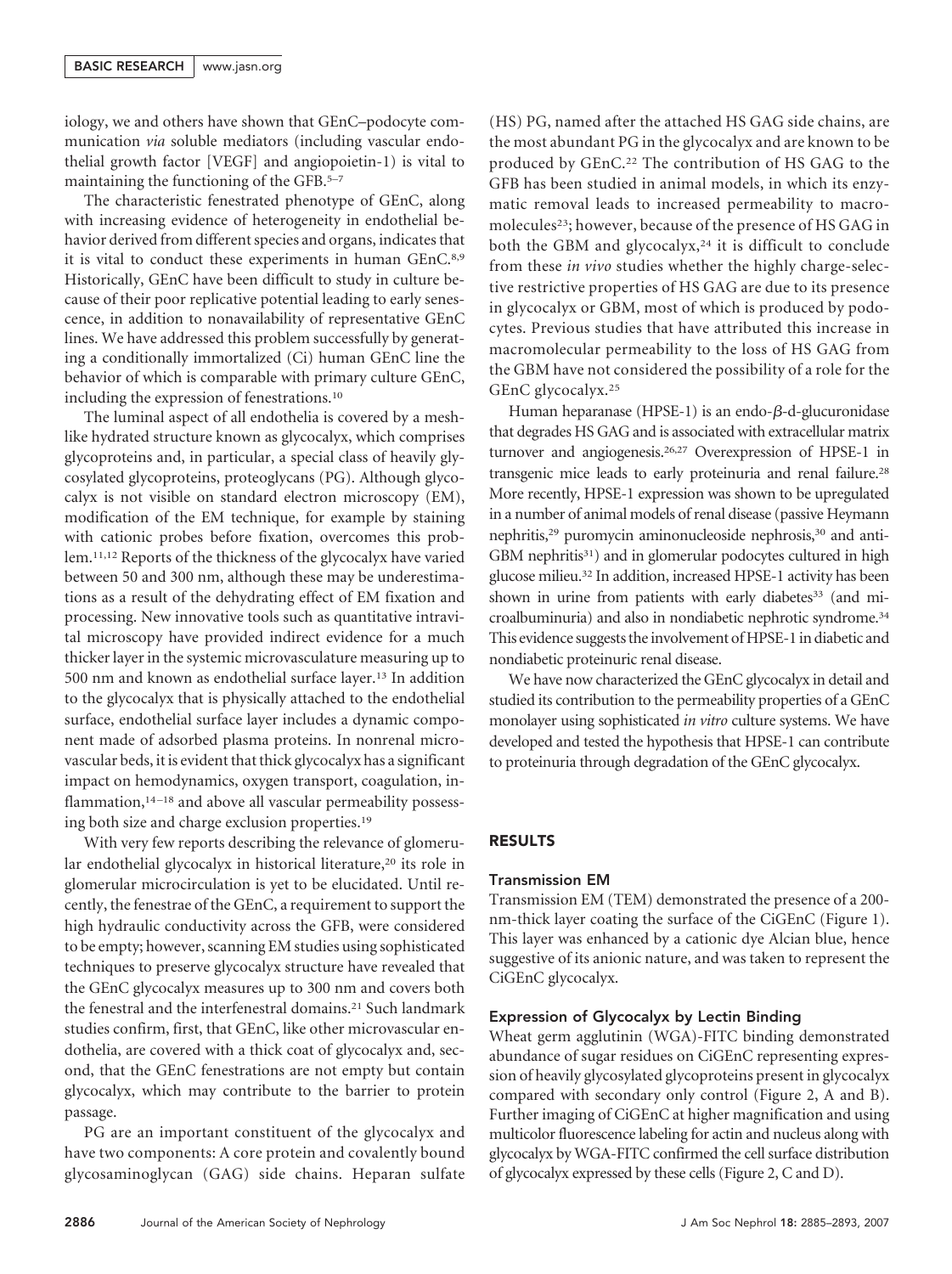iology, we and others have shown that GEnC–podocyte communication *via* soluble mediators (including vascular endothelial growth factor [VEGF] and angiopoietin-1) is vital to maintaining the functioning of the GFB.<sup>5–7</sup>

The characteristic fenestrated phenotype of GEnC, along with increasing evidence of heterogeneity in endothelial behavior derived from different species and organs, indicates that it is vital to conduct these experiments in human GEnC.8,9 Historically, GEnC have been difficult to study in culture because of their poor replicative potential leading to early senescence, in addition to nonavailability of representative GEnC lines. We have addressed this problem successfully by generating a conditionally immortalized (Ci) human GEnC line the behavior of which is comparable with primary culture GEnC, including the expression of fenestrations.10

The luminal aspect of all endothelia is covered by a meshlike hydrated structure known as glycocalyx, which comprises glycoproteins and, in particular, a special class of heavily glycosylated glycoproteins, proteoglycans (PG). Although glycocalyx is not visible on standard electron microscopy (EM), modification of the EM technique, for example by staining with cationic probes before fixation, overcomes this problem.11,12 Reports of the thickness of the glycocalyx have varied between 50 and 300 nm, although these may be underestimations as a result of the dehydrating effect of EM fixation and processing. New innovative tools such as quantitative intravital microscopy have provided indirect evidence for a much thicker layer in the systemic microvasculature measuring up to 500 nm and known as endothelial surface layer.13 In addition to the glycocalyx that is physically attached to the endothelial surface, endothelial surface layer includes a dynamic component made of adsorbed plasma proteins. In nonrenal microvascular beds, it is evident that thick glycocalyx has a significant impact on hemodynamics, oxygen transport, coagulation, inflammation,<sup>14-18</sup> and above all vascular permeability possessing both size and charge exclusion properties.19

With very few reports describing the relevance of glomerular endothelial glycocalyx in historical literature,<sup>20</sup> its role in glomerular microcirculation is yet to be elucidated. Until recently, the fenestrae of the GEnC, a requirement to support the high hydraulic conductivity across the GFB, were considered to be empty; however, scanning EM studies using sophisticated techniques to preserve glycocalyx structure have revealed that the GEnC glycocalyx measures up to 300 nm and covers both the fenestral and the interfenestral domains.21 Such landmark studies confirm, first, that GEnC, like other microvascular endothelia, are covered with a thick coat of glycocalyx and, second, that the GEnC fenestrations are not empty but contain glycocalyx, which may contribute to the barrier to protein passage.

PG are an important constituent of the glycocalyx and have two components: A core protein and covalently bound glycosaminoglycan (GAG) side chains. Heparan sulfate (HS) PG, named after the attached HS GAG side chains, are the most abundant PG in the glycocalyx and are known to be produced by GEnC.22 The contribution of HS GAG to the GFB has been studied in animal models, in which its enzymatic removal leads to increased permeability to macromolecules<sup>23</sup>; however, because of the presence of HS GAG in both the GBM and glycocalyx,<sup>24</sup> it is difficult to conclude from these *in vivo* studies whether the highly charge-selective restrictive properties of HS GAG are due to its presence in glycocalyx or GBM, most of which is produced by podocytes. Previous studies that have attributed this increase in macromolecular permeability to the loss of HS GAG from the GBM have not considered the possibility of a role for the GEnC glycocalyx.25

Human heparanase (HPSE-1) is an endo- $\beta$ -d-glucuronidase that degrades HS GAG and is associated with extracellular matrix turnover and angiogenesis.26,27 Overexpression of HPSE-1 in transgenic mice leads to early proteinuria and renal failure.28 More recently, HPSE-1 expression was shown to be upregulated in a number of animal models of renal disease (passive Heymann nephritis,<sup>29</sup> puromycin aminonucleoside nephrosis,<sup>30</sup> and anti-GBM nephritis<sup>31</sup>) and in glomerular podocytes cultured in high glucose milieu.32 In addition, increased HPSE-1 activity has been shown in urine from patients with early diabetes<sup>33</sup> (and microalbuminuria) and also in nondiabetic nephrotic syndrome.34 This evidence suggests the involvement of HPSE-1 in diabetic and nondiabetic proteinuric renal disease.

We have now characterized the GEnC glycocalyx in detail and studied its contribution to the permeability properties of a GEnC monolayer using sophisticated *in vitro* culture systems. We have developed and tested the hypothesis that HPSE-1 can contribute to proteinuria through degradation of the GEnC glycocalyx.

# RESULTS

#### Transmission EM

Transmission EM (TEM) demonstrated the presence of a 200 nm-thick layer coating the surface of the CiGEnC (Figure 1). This layer was enhanced by a cationic dye Alcian blue, hence suggestive of its anionic nature, and was taken to represent the CiGEnC glycocalyx.

#### Expression of Glycocalyx by Lectin Binding

Wheat germ agglutinin (WGA)-FITC binding demonstrated abundance of sugar residues on CiGEnC representing expression of heavily glycosylated glycoproteins present in glycocalyx compared with secondary only control (Figure 2, A and B). Further imaging of CiGEnC at higher magnification and using multicolor fluorescence labeling for actin and nucleus along with glycocalyx by WGA-FITC confirmed the cell surface distribution of glycocalyx expressed by these cells (Figure 2, C and D).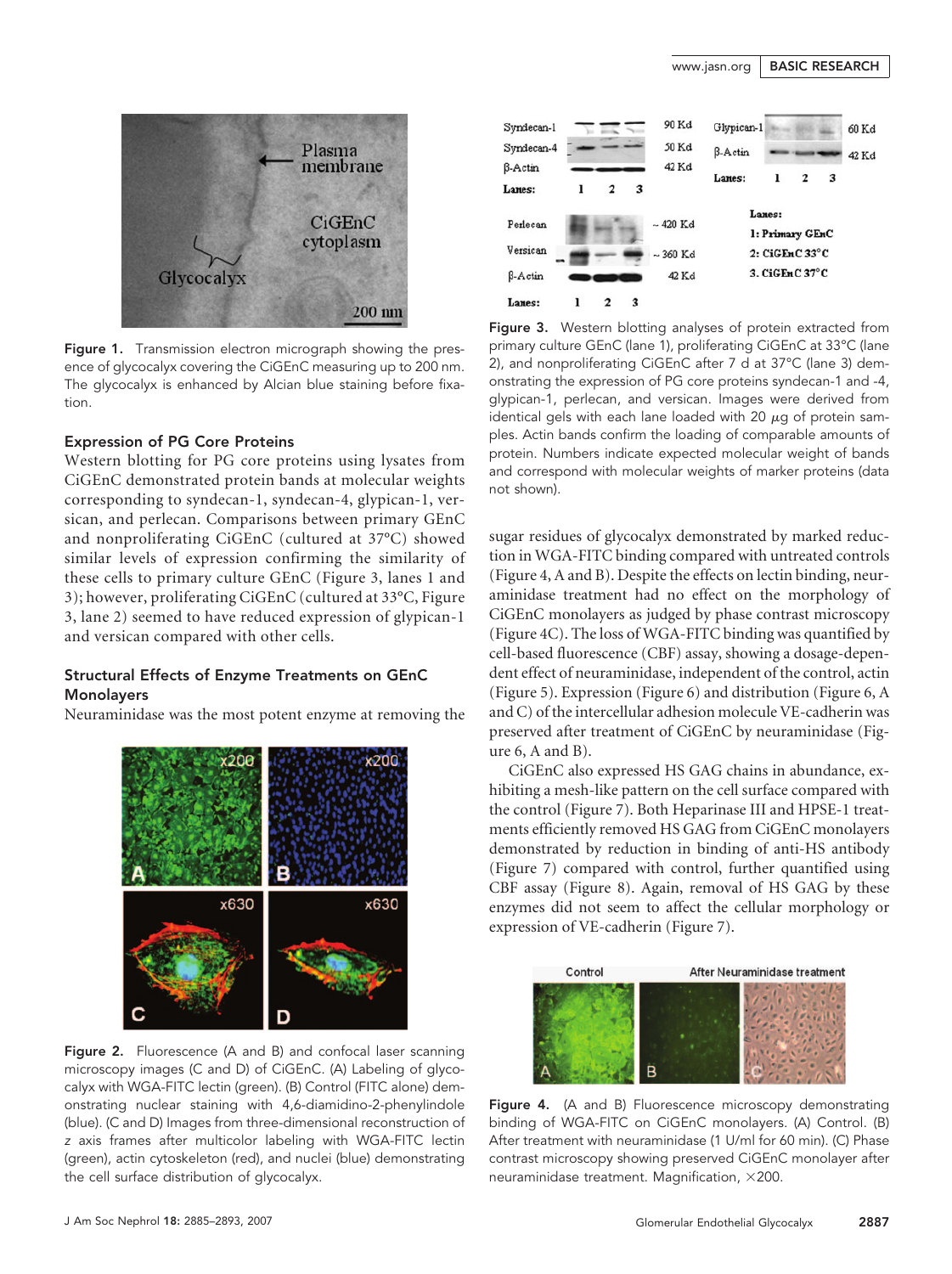

Figure 1. Transmission electron micrograph showing the presence of glycocalyx covering the CiGEnC measuring up to 200 nm. The glycocalyx is enhanced by Alcian blue staining before fixation.

# Expression of PG Core Proteins

Western blotting for PG core proteins using lysates from CiGEnC demonstrated protein bands at molecular weights corresponding to syndecan-1, syndecan-4, glypican-1, versican, and perlecan. Comparisons between primary GEnC and nonproliferating CiGEnC (cultured at 37°C) showed similar levels of expression confirming the similarity of these cells to primary culture GEnC (Figure 3, lanes 1 and 3); however, proliferating CiGEnC (cultured at 33°C, Figure 3, lane 2) seemed to have reduced expression of glypican-1 and versican compared with other cells.

# Structural Effects of Enzyme Treatments on GEnC Monolayers

Neuraminidase was the most potent enzyme at removing the



Figure 2. Fluorescence (A and B) and confocal laser scanning microscopy images (C and D) of CiGEnC. (A) Labeling of glycocalyx with WGA-FITC lectin (green). (B) Control (FITC alone) demonstrating nuclear staining with 4,6-diamidino-2-phenylindole (blue). (C and D) Images from three-dimensional reconstruction of *z* axis frames after multicolor labeling with WGA-FITC lectin (green), actin cytoskeleton (red), and nuclei (blue) demonstrating the cell surface distribution of glycocalyx.



Figure 3. Western blotting analyses of protein extracted from primary culture GEnC (lane 1), proliferating CiGEnC at 33°C (lane 2), and nonproliferating CiGEnC after 7 d at 37°C (lane 3) demonstrating the expression of PG core proteins syndecan-1 and -4, glypican-1, perlecan, and versican. Images were derived from identical gels with each lane loaded with 20  $\mu$ g of protein samples. Actin bands confirm the loading of comparable amounts of protein. Numbers indicate expected molecular weight of bands and correspond with molecular weights of marker proteins (data not shown).

sugar residues of glycocalyx demonstrated by marked reduction in WGA-FITC binding compared with untreated controls (Figure 4, A and B). Despite the effects on lectin binding, neuraminidase treatment had no effect on the morphology of CiGEnC monolayers as judged by phase contrast microscopy (Figure 4C). The loss of WGA-FITC binding was quantified by cell-based fluorescence (CBF) assay, showing a dosage-dependent effect of neuraminidase, independent of the control, actin (Figure 5). Expression (Figure 6) and distribution (Figure 6, A and C) of the intercellular adhesion molecule VE-cadherin was preserved after treatment of CiGEnC by neuraminidase (Figure 6, A and B).

CiGEnC also expressed HS GAG chains in abundance, exhibiting a mesh-like pattern on the cell surface compared with the control (Figure 7). Both Heparinase III and HPSE-1 treatments efficiently removed HS GAG from CiGEnC monolayers demonstrated by reduction in binding of anti-HS antibody (Figure 7) compared with control, further quantified using CBF assay (Figure 8). Again, removal of HS GAG by these enzymes did not seem to affect the cellular morphology or expression of VE-cadherin (Figure 7).



Figure 4. (A and B) Fluorescence microscopy demonstrating binding of WGA-FITC on CiGEnC monolayers. (A) Control. (B) After treatment with neuraminidase (1 U/ml for 60 min). (C) Phase contrast microscopy showing preserved CiGEnC monolayer after neuraminidase treatment. Magnification,  $\times$ 200.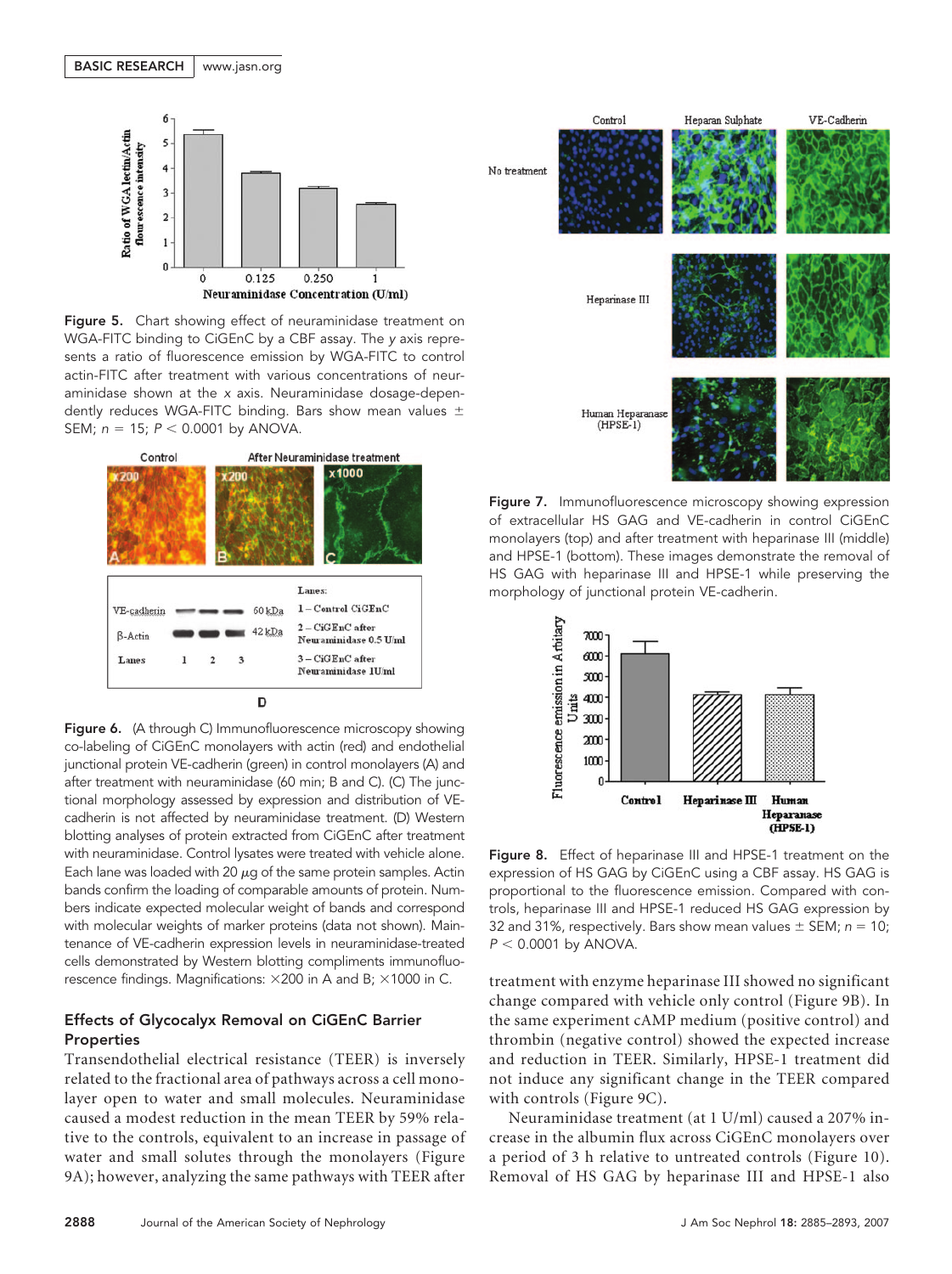

Figure 5. Chart showing effect of neuraminidase treatment on WGA-FITC binding to CiGEnC by a CBF assay. The *y* axis represents a ratio of fluorescence emission by WGA-FITC to control actin-FITC after treatment with various concentrations of neuraminidase shown at the *x* axis. Neuraminidase dosage-dependently reduces WGA-FITC binding. Bars show mean values  $\pm$ SEM;  $n = 15$ ;  $P < 0.0001$  by ANOVA.



Figure 6. (A through C) Immunofluorescence microscopy showing co-labeling of CiGEnC monolayers with actin (red) and endothelial junctional protein VE-cadherin (green) in control monolayers (A) and after treatment with neuraminidase (60 min; B and C). (C) The junctional morphology assessed by expression and distribution of VEcadherin is not affected by neuraminidase treatment. (D) Western blotting analyses of protein extracted from CiGEnC after treatment with neuraminidase. Control lysates were treated with vehicle alone. Each lane was loaded with 20  $\mu$ g of the same protein samples. Actin bands confirm the loading of comparable amounts of protein. Numbers indicate expected molecular weight of bands and correspond with molecular weights of marker proteins (data not shown). Maintenance of VE-cadherin expression levels in neuraminidase-treated cells demonstrated by Western blotting compliments immunofluorescence findings. Magnifications:  $\times$ 200 in A and B;  $\times$ 1000 in C.

# Effects of Glycocalyx Removal on CiGEnC Barrier **Properties**

Transendothelial electrical resistance (TEER) is inversely related to the fractional area of pathways across a cell monolayer open to water and small molecules. Neuraminidase caused a modest reduction in the mean TEER by 59% relative to the controls, equivalent to an increase in passage of water and small solutes through the monolayers (Figure 9A); however, analyzing the same pathways with TEER after



Figure 7. Immunofluorescence microscopy showing expression of extracellular HS GAG and VE-cadherin in control CiGEnC monolayers (top) and after treatment with heparinase III (middle) and HPSE-1 (bottom). These images demonstrate the removal of HS GAG with heparinase III and HPSE-1 while preserving the morphology of junctional protein VE-cadherin.



Figure 8. Effect of heparinase III and HPSE-1 treatment on the expression of HS GAG by CiGEnC using a CBF assay. HS GAG is proportional to the fluorescence emission. Compared with controls, heparinase III and HPSE-1 reduced HS GAG expression by 32 and 31%, respectively. Bars show mean values  $\pm$  SEM;  $n = 10$ ;  $P < 0.0001$  by ANOVA.

treatment with enzyme heparinase III showed no significant change compared with vehicle only control (Figure 9B). In the same experiment cAMP medium (positive control) and thrombin (negative control) showed the expected increase and reduction in TEER. Similarly, HPSE-1 treatment did not induce any significant change in the TEER compared with controls (Figure 9C).

Neuraminidase treatment (at 1 U/ml) caused a 207% increase in the albumin flux across CiGEnC monolayers over a period of 3 h relative to untreated controls (Figure 10). Removal of HS GAG by heparinase III and HPSE-1 also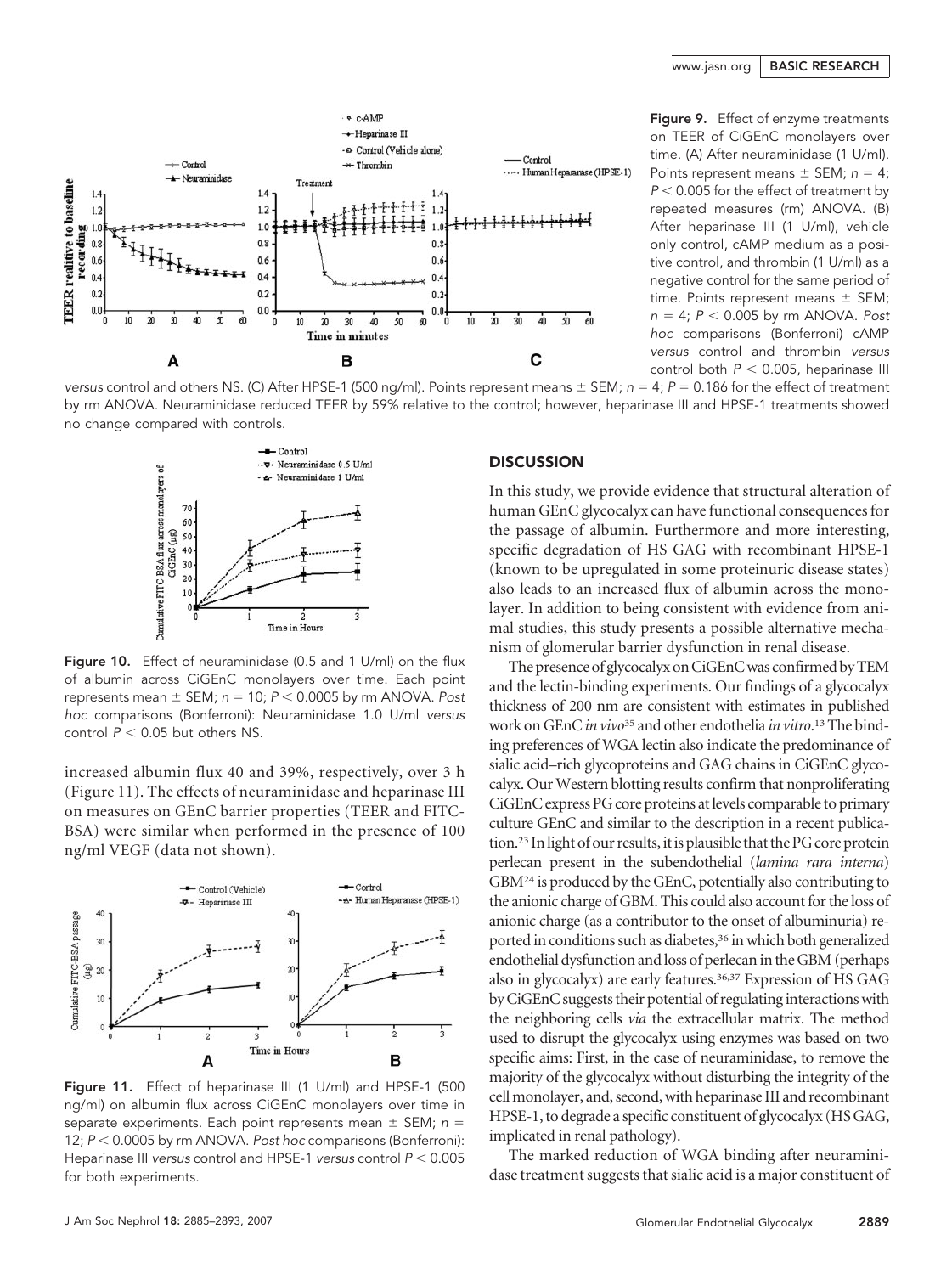

Figure 9. Effect of enzyme treatments on TEER of CiGEnC monolayers over time. (A) After neuraminidase (1 U/ml). Points represent means  $\pm$  SEM;  $n = 4$ ;  $P < 0.005$  for the effect of treatment by repeated measures (rm) ANOVA. (B) After heparinase III (1 U/ml), vehicle only control, cAMP medium as a positive control, and thrombin (1 U/ml) as a negative control for the same period of time. Points represent means  $\pm$  SEM;  $n = 4$ ;  $P < 0.005$  by rm ANOVA. Post *hoc* comparisons (Bonferroni) cAMP *versus* control and thrombin *versus* control both  $P < 0.005$ , heparinase III

*versus* control and others NS. (C) After HPSE-1 (500 ng/ml). Points represent means  $\pm$  SEM;  $n = 4$ ;  $P = 0.186$  for the effect of treatment by rm ANOVA. Neuraminidase reduced TEER by 59% relative to the control; however, heparinase III and HPSE-1 treatments showed no change compared with controls.



Figure 10. Effect of neuraminidase (0.5 and 1 U/ml) on the flux of albumin across CiGEnC monolayers over time. Each point represents mean  $\pm$  SEM;  $n = 10$ ;  $P < 0.0005$  by rm ANOVA. Post *hoc* comparisons (Bonferroni): Neuraminidase 1.0 U/ml *versus* control  $P < 0.05$  but others NS.

increased albumin flux 40 and 39%, respectively, over 3 h (Figure 11). The effects of neuraminidase and heparinase III on measures on GEnC barrier properties (TEER and FITC-BSA) were similar when performed in the presence of 100 ng/ml VEGF (data not shown).



Figure 11. Effect of heparinase III (1 U/ml) and HPSE-1 (500 ng/ml) on albumin flux across CiGEnC monolayers over time in separate experiments. Each point represents mean  $\pm$  SEM; *n* = 12; *P* 0.0005 by rm ANOVA. *Post hoc* comparisons (Bonferroni): Heparinase III *versus* control and HPSE-1 *versus* control  $P < 0.005$ for both experiments.

#### **DISCUSSION**

In this study, we provide evidence that structural alteration of human GEnC glycocalyx can have functional consequences for the passage of albumin. Furthermore and more interesting, specific degradation of HS GAG with recombinant HPSE-1 (known to be upregulated in some proteinuric disease states) also leads to an increased flux of albumin across the monolayer. In addition to being consistent with evidence from animal studies, this study presents a possible alternative mechanism of glomerular barrier dysfunction in renal disease.

The presence of glycocalyx on CiGEnC was confirmed by TEM and the lectin-binding experiments. Our findings of a glycocalyx thickness of 200 nm are consistent with estimates in published work on GEnC*in vivo*<sup>35</sup> and other endothelia *in vitro*. 13The binding preferences of WGA lectin also indicate the predominance of sialic acid–rich glycoproteins and GAG chains in CiGEnC glycocalyx. Our Western blotting results confirm that nonproliferating CiGEnC express PG core proteins at levels comparable to primary culture GEnC and similar to the description in a recent publication.<sup>23</sup> In light of our results, it is plausible that the PG core protein perlecan present in the subendothelial (*lamina rara interna*) GBM24 is produced by the GEnC, potentially also contributing to the anionic charge of GBM. This could also account for the loss of anionic charge (as a contributor to the onset of albuminuria) reported in conditions such as diabetes,<sup>36</sup> in which both generalized endothelial dysfunction and loss of perlecan in the GBM (perhaps also in glycocalyx) are early features.<sup>36,37</sup> Expression of HS GAG by CiGEnC suggests their potential of regulating interactions with the neighboring cells *via* the extracellular matrix. The method used to disrupt the glycocalyx using enzymes was based on two specific aims: First, in the case of neuraminidase, to remove the majority of the glycocalyx without disturbing the integrity of the cellmonolayer, and, second,with heparinase III and recombinant HPSE-1, to degrade a specific constituent of glycocalyx (HS GAG, implicated in renal pathology).

The marked reduction of WGA binding after neuraminidase treatment suggests that sialic acid is a major constituent of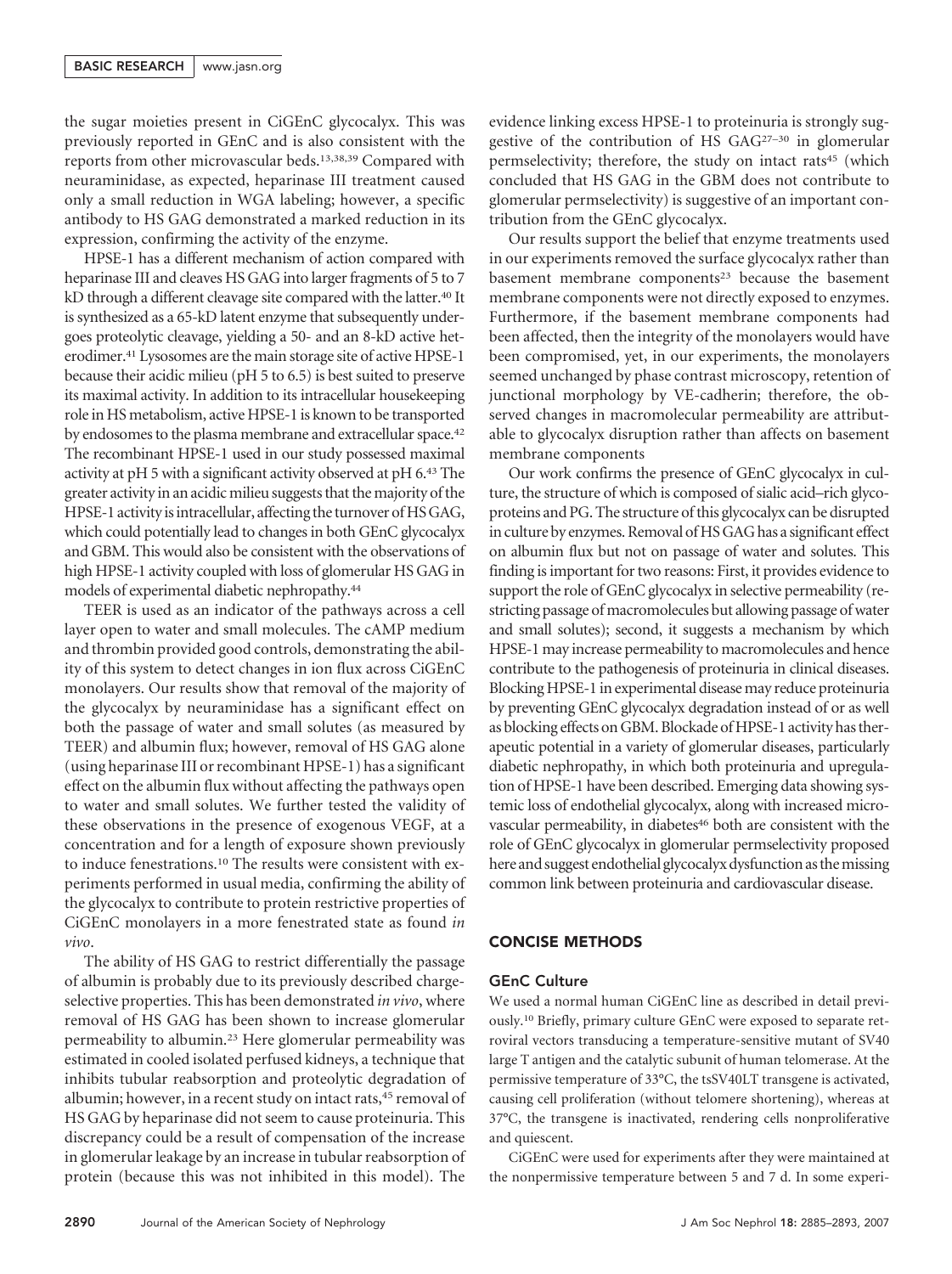the sugar moieties present in CiGEnC glycocalyx. This was previously reported in GEnC and is also consistent with the reports from other microvascular beds.13,38,39 Compared with neuraminidase, as expected, heparinase III treatment caused only a small reduction in WGA labeling; however, a specific antibody to HS GAG demonstrated a marked reduction in its expression, confirming the activity of the enzyme.

HPSE-1 has a different mechanism of action compared with heparinase III and cleaves HS GAG into larger fragments of 5 to 7 kD through a different cleavage site compared with the latter.<sup>40</sup> It is synthesized as a 65-kD latent enzyme that subsequently undergoes proteolytic cleavage, yielding a 50- and an 8-kD active heterodimer.41 Lysosomes are the main storage site of active HPSE-1 because their acidic milieu (pH 5 to 6.5) is best suited to preserve its maximal activity. In addition to its intracellular housekeeping role in HS metabolism, active HPSE-1 is known to be transported by endosomes to the plasma membrane and extracellular space.<sup>42</sup> The recombinant HPSE-1 used in our study possessed maximal activity at pH 5 with a significant activity observed at pH 6.43 The greater activity in an acidic milieu suggests that the majority of the HPSE-1 activity is intracellular, affecting the turnover of HS GAG, which could potentially lead to changes in both GEnC glycocalyx and GBM. This would also be consistent with the observations of high HPSE-1 activity coupled with loss of glomerular HS GAG in models of experimental diabetic nephropathy.44

TEER is used as an indicator of the pathways across a cell layer open to water and small molecules. The cAMP medium and thrombin provided good controls, demonstrating the ability of this system to detect changes in ion flux across CiGEnC monolayers. Our results show that removal of the majority of the glycocalyx by neuraminidase has a significant effect on both the passage of water and small solutes (as measured by TEER) and albumin flux; however, removal of HS GAG alone (using heparinase III or recombinant HPSE-1) has a significant effect on the albumin flux without affecting the pathways open to water and small solutes. We further tested the validity of these observations in the presence of exogenous VEGF, at a concentration and for a length of exposure shown previously to induce fenestrations.10 The results were consistent with experiments performed in usual media, confirming the ability of the glycocalyx to contribute to protein restrictive properties of CiGEnC monolayers in a more fenestrated state as found *in vivo*.

The ability of HS GAG to restrict differentially the passage of albumin is probably due to its previously described chargeselective properties. This has been demonstrated *in vivo*, where removal of HS GAG has been shown to increase glomerular permeability to albumin.23 Here glomerular permeability was estimated in cooled isolated perfused kidneys, a technique that inhibits tubular reabsorption and proteolytic degradation of albumin; however, in a recent study on intact rats,45 removal of HS GAG by heparinase did not seem to cause proteinuria. This discrepancy could be a result of compensation of the increase in glomerular leakage by an increase in tubular reabsorption of protein (because this was not inhibited in this model). The

evidence linking excess HPSE-1 to proteinuria is strongly suggestive of the contribution of HS GAG27–30 in glomerular permselectivity; therefore, the study on intact rats<sup>45</sup> (which concluded that HS GAG in the GBM does not contribute to glomerular permselectivity) is suggestive of an important contribution from the GEnC glycocalyx.

Our results support the belief that enzyme treatments used in our experiments removed the surface glycocalyx rather than basement membrane components<sup>23</sup> because the basement membrane components were not directly exposed to enzymes. Furthermore, if the basement membrane components had been affected, then the integrity of the monolayers would have been compromised, yet, in our experiments, the monolayers seemed unchanged by phase contrast microscopy, retention of junctional morphology by VE-cadherin; therefore, the observed changes in macromolecular permeability are attributable to glycocalyx disruption rather than affects on basement membrane components

Our work confirms the presence of GEnC glycocalyx in culture, the structure of which is composed of sialic acid–rich glycoproteins and PG. The structure of this glycocalyx can be disrupted in culture by enzymes. Removal of HS GAG has a significant effect on albumin flux but not on passage of water and solutes. This finding is important for two reasons: First, it provides evidence to support the role of GEnC glycocalyx in selective permeability (restricting passage of macromolecules but allowing passage of water and small solutes); second, it suggests a mechanism by which HPSE-1 may increase permeability to macromolecules and hence contribute to the pathogenesis of proteinuria in clinical diseases. Blocking HPSE-1 in experimental disease may reduce proteinuria by preventing GEnC glycocalyx degradation instead of or as well as blocking effects on GBM. Blockade of HPSE-1 activity has therapeutic potential in a variety of glomerular diseases, particularly diabetic nephropathy, in which both proteinuria and upregulation of HPSE-1 have been described. Emerging data showing systemic loss of endothelial glycocalyx, along with increased microvascular permeability, in diabetes<sup>46</sup> both are consistent with the role of GEnC glycocalyx in glomerular permselectivity proposed here and suggest endothelial glycocalyx dysfunction as themissing common link between proteinuria and cardiovascular disease.

# CONCISE METHODS

# GEnC Culture

We used a normal human CiGEnC line as described in detail previously.10 Briefly, primary culture GEnC were exposed to separate retroviral vectors transducing a temperature-sensitive mutant of SV40 large T antigen and the catalytic subunit of human telomerase. At the permissive temperature of 33°C, the tsSV40LT transgene is activated, causing cell proliferation (without telomere shortening), whereas at 37°C, the transgene is inactivated, rendering cells nonproliferative and quiescent.

CiGEnC were used for experiments after they were maintained at the nonpermissive temperature between 5 and 7 d. In some experi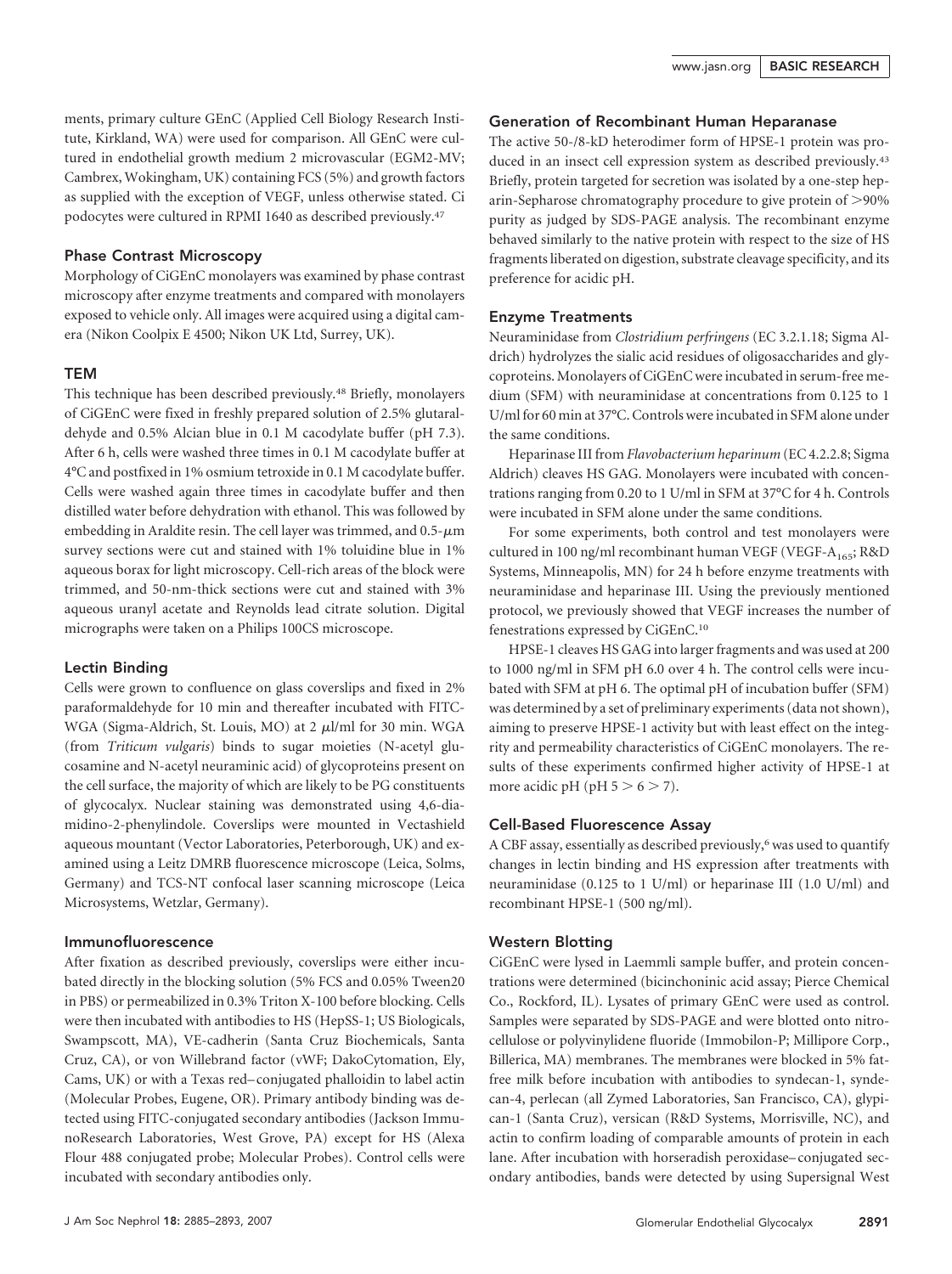ments, primary culture GEnC (Applied Cell Biology Research Institute, Kirkland, WA) were used for comparison. All GEnC were cultured in endothelial growth medium 2 microvascular (EGM2-MV; Cambrex, Wokingham, UK) containing FCS (5%) and growth factors as supplied with the exception of VEGF, unless otherwise stated. Ci podocytes were cultured in RPMI 1640 as described previously.47

# Phase Contrast Microscopy

Morphology of CiGEnC monolayers was examined by phase contrast microscopy after enzyme treatments and compared with monolayers exposed to vehicle only. All images were acquired using a digital camera (Nikon Coolpix E 4500; Nikon UK Ltd, Surrey, UK).

#### **TEM**

This technique has been described previously.48 Briefly, monolayers of CiGEnC were fixed in freshly prepared solution of 2.5% glutaraldehyde and 0.5% Alcian blue in 0.1 M cacodylate buffer (pH 7.3). After 6 h, cells were washed three times in 0.1 M cacodylate buffer at 4°C and postfixed in 1% osmium tetroxide in 0.1 M cacodylate buffer. Cells were washed again three times in cacodylate buffer and then distilled water before dehydration with ethanol. This was followed by embedding in Araldite resin. The cell layer was trimmed, and  $0.5$ - $\mu$ m survey sections were cut and stained with 1% toluidine blue in 1% aqueous borax for light microscopy. Cell-rich areas of the block were trimmed, and 50-nm-thick sections were cut and stained with 3% aqueous uranyl acetate and Reynolds lead citrate solution. Digital micrographs were taken on a Philips 100CS microscope.

#### Lectin Binding

Cells were grown to confluence on glass coverslips and fixed in 2% paraformaldehyde for 10 min and thereafter incubated with FITC-WGA (Sigma-Aldrich, St. Louis, MO) at 2 µl/ml for 30 min. WGA (from *Triticum vulgaris*) binds to sugar moieties (N-acetyl glucosamine and N-acetyl neuraminic acid) of glycoproteins present on the cell surface, the majority of which are likely to be PG constituents of glycocalyx. Nuclear staining was demonstrated using 4,6-diamidino-2-phenylindole. Coverslips were mounted in Vectashield aqueous mountant (Vector Laboratories, Peterborough, UK) and examined using a Leitz DMRB fluorescence microscope (Leica, Solms, Germany) and TCS-NT confocal laser scanning microscope (Leica Microsystems, Wetzlar, Germany).

#### Immunofluorescence

After fixation as described previously, coverslips were either incubated directly in the blocking solution (5% FCS and 0.05% Tween20 in PBS) or permeabilized in 0.3% Triton X-100 before blocking. Cells were then incubated with antibodies to HS (HepSS-1; US Biologicals, Swampscott, MA), VE-cadherin (Santa Cruz Biochemicals, Santa Cruz, CA), or von Willebrand factor (vWF; DakoCytomation, Ely, Cams, UK) or with a Texas red– conjugated phalloidin to label actin (Molecular Probes, Eugene, OR). Primary antibody binding was detected using FITC-conjugated secondary antibodies (Jackson ImmunoResearch Laboratories, West Grove, PA) except for HS (Alexa Flour 488 conjugated probe; Molecular Probes). Control cells were incubated with secondary antibodies only.

# Generation of Recombinant Human Heparanase

The active 50-/8-kD heterodimer form of HPSE-1 protein was produced in an insect cell expression system as described previously.43 Briefly, protein targeted for secretion was isolated by a one-step heparin-Sepharose chromatography procedure to give protein of >90% purity as judged by SDS-PAGE analysis. The recombinant enzyme behaved similarly to the native protein with respect to the size of HS fragments liberated on digestion, substrate cleavage specificity, and its preference for acidic pH.

#### Enzyme Treatments

Neuraminidase from *Clostridium perfringens* (EC 3.2.1.18; Sigma Aldrich) hydrolyzes the sialic acid residues of oligosaccharides and glycoproteins. Monolayers of CiGEnC were incubated in serum-free medium (SFM) with neuraminidase at concentrations from 0.125 to 1 U/ml for 60 min at 37°C. Controls were incubated in SFM alone under the same conditions.

Heparinase III from *Flavobacterium heparinum* (EC 4.2.2.8; Sigma Aldrich) cleaves HS GAG. Monolayers were incubated with concentrations ranging from 0.20 to 1 U/ml in SFM at 37°C for 4 h. Controls were incubated in SFM alone under the same conditions.

For some experiments, both control and test monolayers were cultured in 100 ng/ml recombinant human VEGF (VEGF- $A_{165}$ ; R&D Systems, Minneapolis, MN) for 24 h before enzyme treatments with neuraminidase and heparinase III. Using the previously mentioned protocol, we previously showed that VEGF increases the number of fenestrations expressed by CiGEnC.10

HPSE-1 cleaves HS GAG into larger fragments and was used at 200 to 1000 ng/ml in SFM pH 6.0 over 4 h. The control cells were incubated with SFM at pH 6. The optimal pH of incubation buffer (SFM) was determined by a set of preliminary experiments (data not shown), aiming to preserve HPSE-1 activity but with least effect on the integrity and permeability characteristics of CiGEnC monolayers. The results of these experiments confirmed higher activity of HPSE-1 at more acidic pH (pH  $5 > 6 > 7$ ).

## Cell-Based Fluorescence Assay

A CBF assay, essentially as described previously,<sup>6</sup> was used to quantify changes in lectin binding and HS expression after treatments with neuraminidase (0.125 to 1 U/ml) or heparinase III (1.0 U/ml) and recombinant HPSE-1 (500 ng/ml).

#### Western Blotting

CiGEnC were lysed in Laemmli sample buffer, and protein concentrations were determined (bicinchoninic acid assay; Pierce Chemical Co., Rockford, IL). Lysates of primary GEnC were used as control. Samples were separated by SDS-PAGE and were blotted onto nitrocellulose or polyvinylidene fluoride (Immobilon-P; Millipore Corp., Billerica, MA) membranes. The membranes were blocked in 5% fatfree milk before incubation with antibodies to syndecan-1, syndecan-4, perlecan (all Zymed Laboratories, San Francisco, CA), glypican-1 (Santa Cruz), versican (R&D Systems, Morrisville, NC), and actin to confirm loading of comparable amounts of protein in each lane. After incubation with horseradish peroxidase– conjugated secondary antibodies, bands were detected by using Supersignal West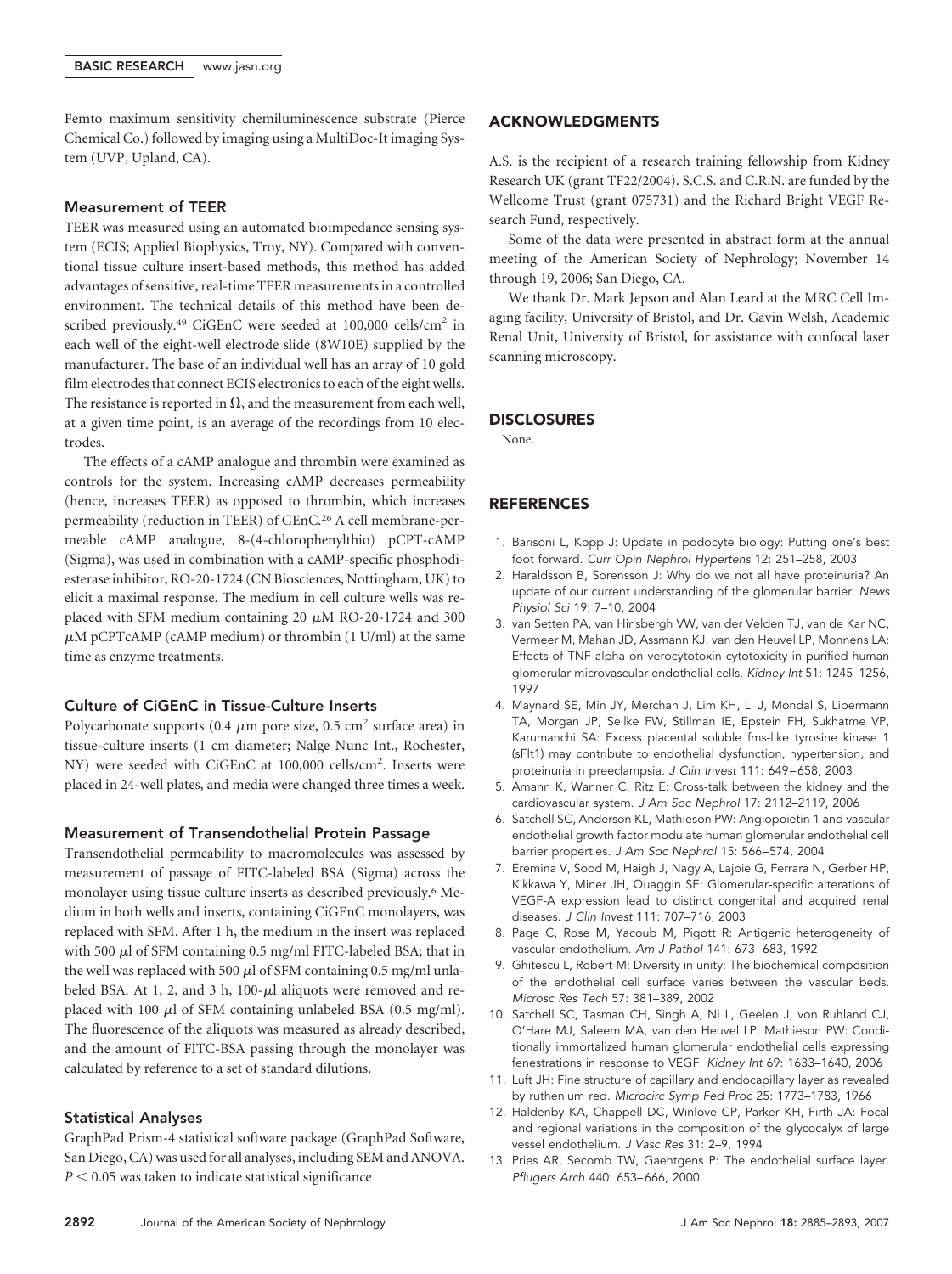Femto maximum sensitivity chemiluminescence substrate (Pierce Chemical Co.) followed by imaging using a MultiDoc-It imaging System (UVP, Upland, CA).

## Measurement of TEER

TEER was measured using an automated bioimpedance sensing system (ECIS; Applied Biophysics, Troy, NY). Compared with conventional tissue culture insert-based methods, this method has added advantages of sensitive, real-time TEER measurements in a controlled environment. The technical details of this method have been described previously.<sup>49</sup> CiGEnC were seeded at 100,000 cells/cm<sup>2</sup> in each well of the eight-well electrode slide (8W10E) supplied by the manufacturer. The base of an individual well has an array of 10 gold film electrodes that connect ECIS electronics to each of the eight wells. The resistance is reported in  $\Omega$ , and the measurement from each well, at a given time point, is an average of the recordings from 10 electrodes.

The effects of a cAMP analogue and thrombin were examined as controls for the system. Increasing cAMP decreases permeability (hence, increases TEER) as opposed to thrombin, which increases permeability (reduction in TEER) of GEnC.26 A cell membrane-permeable cAMP analogue, 8-(4-chlorophenylthio) pCPT-cAMP (Sigma), was used in combination with a cAMP-specific phosphodiesterase inhibitor, RO-20-1724 (CN Biosciences, Nottingham, UK) to elicit a maximal response. The medium in cell culture wells was replaced with SFM medium containing 20  $\mu$ M RO-20-1724 and 300  $\mu$ M pCPTcAMP (cAMP medium) or thrombin (1 U/ml) at the same time as enzyme treatments.

# Culture of CiGEnC in Tissue-Culture Inserts

Polycarbonate supports (0.4  $\mu$ m pore size, 0.5 cm<sup>2</sup> surface area) in tissue-culture inserts (1 cm diameter; Nalge Nunc Int., Rochester, NY) were seeded with CiGEnC at 100,000 cells/cm<sup>2</sup>. Inserts were placed in 24-well plates, and media were changed three times a week.

#### Measurement of Transendothelial Protein Passage

Transendothelial permeability to macromolecules was assessed by measurement of passage of FITC-labeled BSA (Sigma) across the monolayer using tissue culture inserts as described previously.6 Medium in both wells and inserts, containing CiGEnC monolayers, was replaced with SFM. After 1 h, the medium in the insert was replaced with 500  $\mu$ l of SFM containing 0.5 mg/ml FITC-labeled BSA; that in the well was replaced with 500  $\mu$ l of SFM containing 0.5 mg/ml unlabeled BSA. At 1, 2, and 3 h, 100- $\mu$ l aliquots were removed and replaced with 100  $\mu$ l of SFM containing unlabeled BSA (0.5 mg/ml). The fluorescence of the aliquots was measured as already described, and the amount of FITC-BSA passing through the monolayer was calculated by reference to a set of standard dilutions.

# Statistical Analyses

GraphPad Prism-4 statistical software package (GraphPad Software, San Diego, CA) was used for all analyses, including SEM and ANOVA.  $P < 0.05$  was taken to indicate statistical significance

# ACKNOWLEDGMENTS

A.S. is the recipient of a research training fellowship from Kidney Research UK (grant TF22/2004). S.C.S. and C.R.N. are funded by the Wellcome Trust (grant 075731) and the Richard Bright VEGF Research Fund, respectively.

Some of the data were presented in abstract form at the annual meeting of the American Society of Nephrology; November 14 through 19, 2006; San Diego, CA.

We thank Dr. Mark Jepson and Alan Leard at the MRC Cell Imaging facility, University of Bristol, and Dr. Gavin Welsh, Academic Renal Unit, University of Bristol, for assistance with confocal laser scanning microscopy.

#### **DISCLOSURES**

None.

# REFERENCES

- 1. Barisoni L, Kopp J: Update in podocyte biology: Putting one's best foot forward. *Curr Opin Nephrol Hypertens* 12: 251–258, 2003
- 2. Haraldsson B, Sorensson J: Why do we not all have proteinuria? An update of our current understanding of the glomerular barrier. *News Physiol Sci* 19: 7–10, 2004
- 3. van Setten PA, van Hinsbergh VW, van der Velden TJ, van de Kar NC, Vermeer M, Mahan JD, Assmann KJ, van den Heuvel LP, Monnens LA: Effects of TNF alpha on verocytotoxin cytotoxicity in purified human glomerular microvascular endothelial cells. *Kidney Int* 51: 1245–1256, 1997
- 4. Maynard SE, Min JY, Merchan J, Lim KH, Li J, Mondal S, Libermann TA, Morgan JP, Sellke FW, Stillman IE, Epstein FH, Sukhatme VP, Karumanchi SA: Excess placental soluble fms-like tyrosine kinase 1 (sFlt1) may contribute to endothelial dysfunction, hypertension, and proteinuria in preeclampsia. *J Clin Invest* 111: 649 – 658, 2003
- 5. Amann K, Wanner C, Ritz E: Cross-talk between the kidney and the cardiovascular system. *J Am Soc Nephrol* 17: 2112–2119, 2006
- 6. Satchell SC, Anderson KL, Mathieson PW: Angiopoietin 1 and vascular endothelial growth factor modulate human glomerular endothelial cell barrier properties. *J Am Soc Nephrol* 15: 566 –574, 2004
- 7. Eremina V, Sood M, Haigh J, Nagy A, Lajoie G, Ferrara N, Gerber HP, Kikkawa Y, Miner JH, Quaggin SE: Glomerular-specific alterations of VEGF-A expression lead to distinct congenital and acquired renal diseases. *J Clin Invest* 111: 707–716, 2003
- 8. Page C, Rose M, Yacoub M, Pigott R: Antigenic heterogeneity of vascular endothelium. *Am J Pathol* 141: 673– 683, 1992
- 9. Ghitescu L, Robert M: Diversity in unity: The biochemical composition of the endothelial cell surface varies between the vascular beds. *Microsc Res Tech* 57: 381–389, 2002
- 10. Satchell SC, Tasman CH, Singh A, Ni L, Geelen J, von Ruhland CJ, O'Hare MJ, Saleem MA, van den Heuvel LP, Mathieson PW: Conditionally immortalized human glomerular endothelial cells expressing fenestrations in response to VEGF. *Kidney Int* 69: 1633–1640, 2006
- 11. Luft JH: Fine structure of capillary and endocapillary layer as revealed by ruthenium red. *Microcirc Symp Fed Proc* 25: 1773–1783, 1966
- 12. Haldenby KA, Chappell DC, Winlove CP, Parker KH, Firth JA: Focal and regional variations in the composition of the glycocalyx of large vessel endothelium. *J Vasc Res* 31: 2–9, 1994
- 13. Pries AR, Secomb TW, Gaehtgens P: The endothelial surface layer. *Pflugers Arch* 440: 653– 666, 2000